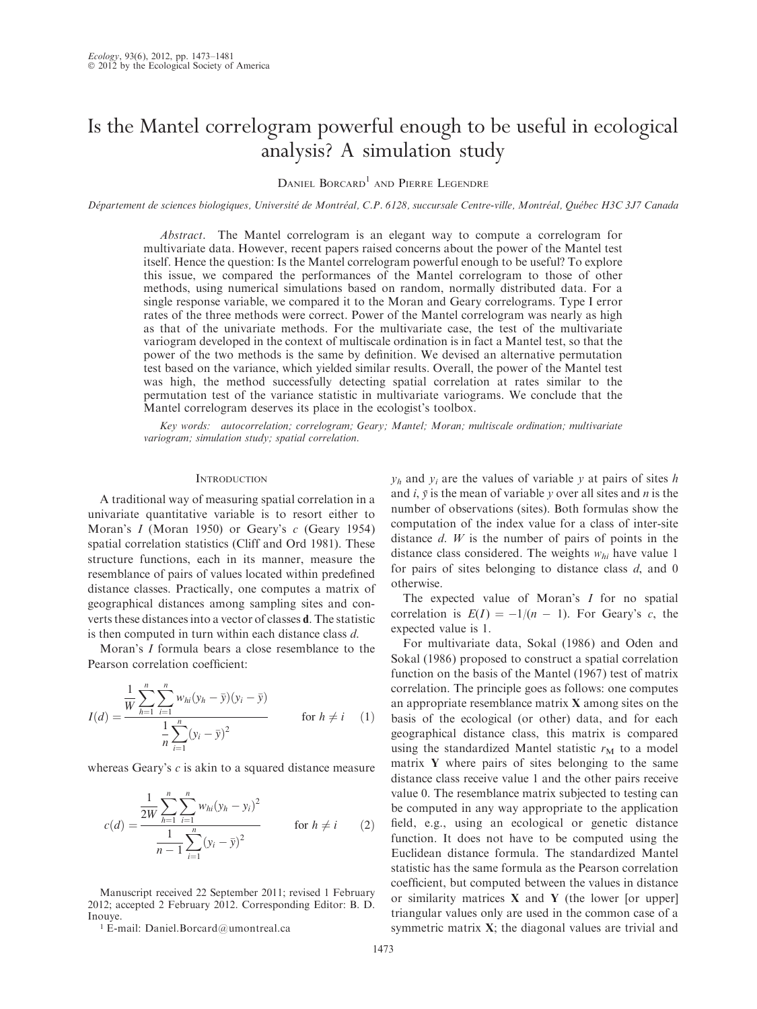# Is the Mantel correlogram powerful enough to be useful in ecological analysis? A simulation study

DANIEL BORCARD<sup>1</sup> AND PIERRE LEGENDRE

Département de sciences biologiques, Université de Montréal, C.P. 6128, succursale Centre-ville, Montréal, Québec H3C 3J7 Canada

Abstract. The Mantel correlogram is an elegant way to compute a correlogram for multivariate data. However, recent papers raised concerns about the power of the Mantel test itself. Hence the question: Is the Mantel correlogram powerful enough to be useful? To explore this issue, we compared the performances of the Mantel correlogram to those of other methods, using numerical simulations based on random, normally distributed data. For a single response variable, we compared it to the Moran and Geary correlograms. Type I error rates of the three methods were correct. Power of the Mantel correlogram was nearly as high as that of the univariate methods. For the multivariate case, the test of the multivariate variogram developed in the context of multiscale ordination is in fact a Mantel test, so that the power of the two methods is the same by definition. We devised an alternative permutation test based on the variance, which yielded similar results. Overall, the power of the Mantel test was high, the method successfully detecting spatial correlation at rates similar to the permutation test of the variance statistic in multivariate variograms. We conclude that the Mantel correlogram deserves its place in the ecologist's toolbox.

Key words: autocorrelation; correlogram; Geary; Mantel; Moran; multiscale ordination; multivariate variogram; simulation study; spatial correlation.

### **INTRODUCTION**

A traditional way of measuring spatial correlation in a univariate quantitative variable is to resort either to Moran's  $I$  (Moran 1950) or Geary's  $c$  (Geary 1954) spatial correlation statistics (Cliff and Ord 1981). These structure functions, each in its manner, measure the resemblance of pairs of values located within predefined distance classes. Practically, one computes a matrix of geographical distances among sampling sites and converts these distances into a vector of classes d. The statistic is then computed in turn within each distance class d.

Moran's I formula bears a close resemblance to the Pearson correlation coefficient:

$$
I(d) = \frac{\frac{1}{W} \sum_{h=1}^{n} \sum_{i=1}^{n} w_{hi}(y_h - \bar{y})(y_i - \bar{y})}{\frac{1}{n} \sum_{i=1}^{n} (y_i - \bar{y})^2}
$$
 for  $h \neq i$  (1)

whereas Geary's c is akin to a squared distance measure

$$
c(d) = \frac{\frac{1}{2W} \sum_{h=1}^{n} \sum_{i=1}^{n} w_{hi}(y_h - y_i)^2}{\frac{1}{n-1} \sum_{i=1}^{n} (y_i - \bar{y})^2}
$$
 for  $h \neq i$  (2)

Manuscript received 22 September 2011; revised 1 February 2012; accepted 2 February 2012. Corresponding Editor: B. D. Inouye.

<sup>1</sup> E-mail: Daniel.Borcard@umontreal.ca

 $y_h$  and  $y_i$  are the values of variable y at pairs of sites h and i,  $\bar{y}$  is the mean of variable y over all sites and n is the number of observations (sites). Both formulas show the computation of the index value for a class of inter-site distance  $d$ .  $W$  is the number of pairs of points in the distance class considered. The weights  $w_{hi}$  have value 1 for pairs of sites belonging to distance class  $d$ , and 0 otherwise.

The expected value of Moran's I for no spatial correlation is  $E(I) = -1/(n - 1)$ . For Geary's c, the expected value is 1.

For multivariate data, Sokal (1986) and Oden and Sokal (1986) proposed to construct a spatial correlation function on the basis of the Mantel (1967) test of matrix correlation. The principle goes as follows: one computes an appropriate resemblance matrix X among sites on the basis of the ecological (or other) data, and for each geographical distance class, this matrix is compared using the standardized Mantel statistic  $r_M$  to a model matrix  $Y$  where pairs of sites belonging to the same distance class receive value 1 and the other pairs receive value 0. The resemblance matrix subjected to testing can be computed in any way appropriate to the application field, e.g., using an ecological or genetic distance function. It does not have to be computed using the Euclidean distance formula. The standardized Mantel statistic has the same formula as the Pearson correlation coefficient, but computed between the values in distance or similarity matrices  $X$  and  $Y$  (the lower [or upper] triangular values only are used in the common case of a symmetric matrix X; the diagonal values are trivial and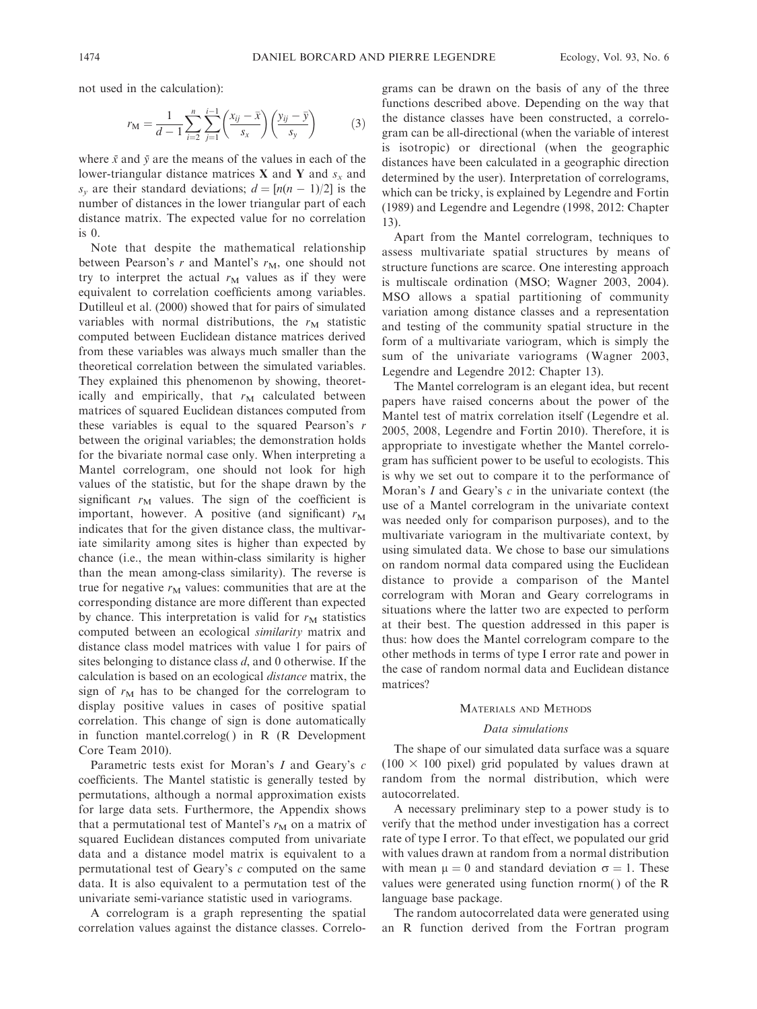not used in the calculation):

$$
r_{\rm M} = \frac{1}{d-1} \sum_{i=2}^{n} \sum_{j=1}^{i-1} \left( \frac{x_{ij} - \bar{x}}{s_x} \right) \left( \frac{y_{ij} - \bar{y}}{s_y} \right) \tag{3}
$$

where  $\bar{x}$  and  $\bar{y}$  are the means of the values in each of the lower-triangular distance matrices **X** and **Y** and  $s_x$  and  $s_y$  are their standard deviations;  $d = [n(n-1)/2]$  is the number of distances in the lower triangular part of each distance matrix. The expected value for no correlation is 0.

Note that despite the mathematical relationship between Pearson's  $r$  and Mantel's  $r_M$ , one should not try to interpret the actual  $r_M$  values as if they were equivalent to correlation coefficients among variables. Dutilleul et al. (2000) showed that for pairs of simulated variables with normal distributions, the  $r_M$  statistic computed between Euclidean distance matrices derived from these variables was always much smaller than the theoretical correlation between the simulated variables. They explained this phenomenon by showing, theoretically and empirically, that  $r_M$  calculated between matrices of squared Euclidean distances computed from these variables is equal to the squared Pearson's r between the original variables; the demonstration holds for the bivariate normal case only. When interpreting a Mantel correlogram, one should not look for high values of the statistic, but for the shape drawn by the significant  $r_M$  values. The sign of the coefficient is important, however. A positive (and significant)  $r_M$ indicates that for the given distance class, the multivariate similarity among sites is higher than expected by chance (i.e., the mean within-class similarity is higher than the mean among-class similarity). The reverse is true for negative  $r_M$  values: communities that are at the corresponding distance are more different than expected by chance. This interpretation is valid for  $r<sub>M</sub>$  statistics computed between an ecological similarity matrix and distance class model matrices with value 1 for pairs of sites belonging to distance class  $d$ , and 0 otherwise. If the calculation is based on an ecological distance matrix, the sign of  $r_M$  has to be changed for the correlogram to display positive values in cases of positive spatial correlation. This change of sign is done automatically in function mantel.correlog $()$  in R  $(R$  Development Core Team 2010).

Parametric tests exist for Moran's  $I$  and Geary's  $c$ coefficients. The Mantel statistic is generally tested by permutations, although a normal approximation exists for large data sets. Furthermore, the Appendix shows that a permutational test of Mantel's  $r_M$  on a matrix of squared Euclidean distances computed from univariate data and a distance model matrix is equivalent to a permutational test of Geary's  $c$  computed on the same data. It is also equivalent to a permutation test of the univariate semi-variance statistic used in variograms.

A correlogram is a graph representing the spatial correlation values against the distance classes. Correlograms can be drawn on the basis of any of the three functions described above. Depending on the way that the distance classes have been constructed, a correlogram can be all-directional (when the variable of interest is isotropic) or directional (when the geographic distances have been calculated in a geographic direction determined by the user). Interpretation of correlograms, which can be tricky, is explained by Legendre and Fortin (1989) and Legendre and Legendre (1998, 2012: Chapter 13).

Apart from the Mantel correlogram, techniques to assess multivariate spatial structures by means of structure functions are scarce. One interesting approach is multiscale ordination (MSO; Wagner 2003, 2004). MSO allows a spatial partitioning of community variation among distance classes and a representation and testing of the community spatial structure in the form of a multivariate variogram, which is simply the sum of the univariate variograms (Wagner 2003, Legendre and Legendre 2012: Chapter 13).

The Mantel correlogram is an elegant idea, but recent papers have raised concerns about the power of the Mantel test of matrix correlation itself (Legendre et al. 2005, 2008, Legendre and Fortin 2010). Therefore, it is appropriate to investigate whether the Mantel correlogram has sufficient power to be useful to ecologists. This is why we set out to compare it to the performance of Moran's  $I$  and Geary's  $c$  in the univariate context (the use of a Mantel correlogram in the univariate context was needed only for comparison purposes), and to the multivariate variogram in the multivariate context, by using simulated data. We chose to base our simulations on random normal data compared using the Euclidean distance to provide a comparison of the Mantel correlogram with Moran and Geary correlograms in situations where the latter two are expected to perform at their best. The question addressed in this paper is thus: how does the Mantel correlogram compare to the other methods in terms of type I error rate and power in the case of random normal data and Euclidean distance matrices?

#### MATERIALS AND METHODS

#### Data simulations

The shape of our simulated data surface was a square  $(100 \times 100$  pixel) grid populated by values drawn at random from the normal distribution, which were autocorrelated.

A necessary preliminary step to a power study is to verify that the method under investigation has a correct rate of type I error. To that effect, we populated our grid with values drawn at random from a normal distribution with mean  $\mu = 0$  and standard deviation  $\sigma = 1$ . These values were generated using function rnorm( ) of the R language base package.

The random autocorrelated data were generated using an R function derived from the Fortran program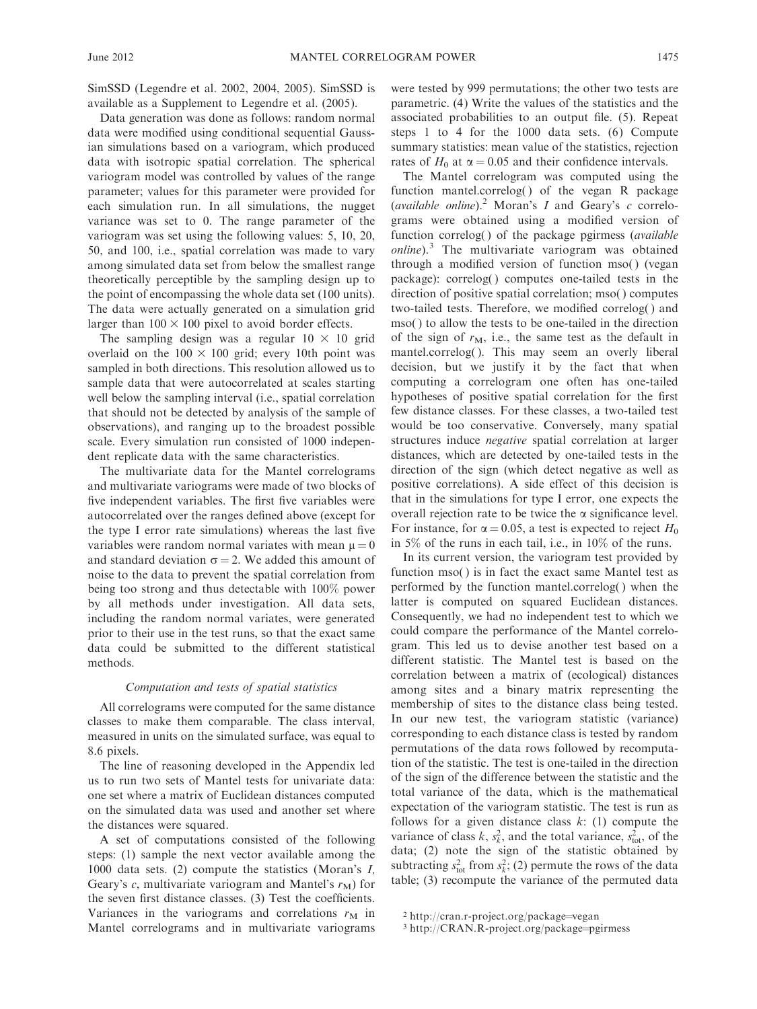SimSSD (Legendre et al. 2002, 2004, 2005). SimSSD is available as a Supplement to Legendre et al. (2005).

Data generation was done as follows: random normal data were modified using conditional sequential Gaussian simulations based on a variogram, which produced data with isotropic spatial correlation. The spherical variogram model was controlled by values of the range parameter; values for this parameter were provided for each simulation run. In all simulations, the nugget variance was set to 0. The range parameter of the variogram was set using the following values: 5, 10, 20, 50, and 100, i.e., spatial correlation was made to vary among simulated data set from below the smallest range theoretically perceptible by the sampling design up to the point of encompassing the whole data set (100 units). The data were actually generated on a simulation grid larger than  $100 \times 100$  pixel to avoid border effects.

The sampling design was a regular  $10 \times 10$  grid overlaid on the  $100 \times 100$  grid; every 10th point was sampled in both directions. This resolution allowed us to sample data that were autocorrelated at scales starting well below the sampling interval (i.e., spatial correlation that should not be detected by analysis of the sample of observations), and ranging up to the broadest possible scale. Every simulation run consisted of 1000 independent replicate data with the same characteristics.

The multivariate data for the Mantel correlograms and multivariate variograms were made of two blocks of five independent variables. The first five variables were autocorrelated over the ranges defined above (except for the type I error rate simulations) whereas the last five variables were random normal variates with mean  $\mu = 0$ and standard deviation  $\sigma = 2$ . We added this amount of noise to the data to prevent the spatial correlation from being too strong and thus detectable with 100% power by all methods under investigation. All data sets, including the random normal variates, were generated prior to their use in the test runs, so that the exact same data could be submitted to the different statistical methods.

#### Computation and tests of spatial statistics

All correlograms were computed for the same distance classes to make them comparable. The class interval, measured in units on the simulated surface, was equal to 8.6 pixels.

The line of reasoning developed in the Appendix led us to run two sets of Mantel tests for univariate data: one set where a matrix of Euclidean distances computed on the simulated data was used and another set where the distances were squared.

A set of computations consisted of the following steps: (1) sample the next vector available among the 1000 data sets. (2) compute the statistics (Moran's I, Geary's c, multivariate variogram and Mantel's  $r<sub>M</sub>$ ) for the seven first distance classes. (3) Test the coefficients. Variances in the variograms and correlations  $r<sub>M</sub>$  in Mantel correlograms and in multivariate variograms were tested by 999 permutations; the other two tests are parametric. (4) Write the values of the statistics and the associated probabilities to an output file. (5). Repeat steps 1 to 4 for the 1000 data sets. (6) Compute summary statistics: mean value of the statistics, rejection rates of  $H_0$  at  $\alpha = 0.05$  and their confidence intervals.

The Mantel correlogram was computed using the function mantel.correlog( $)$  of the vegan R package (available online).<sup>2</sup> Moran's I and Geary's c correlograms were obtained using a modified version of function correlog() of the package pgirmess (*available*  $online$ ).<sup>3</sup> The multivariate variogram was obtained through a modified version of function mso( ) (vegan package): correlog( ) computes one-tailed tests in the direction of positive spatial correlation; mso( ) computes two-tailed tests. Therefore, we modified correlog( ) and mso( ) to allow the tests to be one-tailed in the direction of the sign of  $r<sub>M</sub>$ , i.e., the same test as the default in mantel.correlog( ). This may seem an overly liberal decision, but we justify it by the fact that when computing a correlogram one often has one-tailed hypotheses of positive spatial correlation for the first few distance classes. For these classes, a two-tailed test would be too conservative. Conversely, many spatial structures induce negative spatial correlation at larger distances, which are detected by one-tailed tests in the direction of the sign (which detect negative as well as positive correlations). A side effect of this decision is that in the simulations for type I error, one expects the overall rejection rate to be twice the  $\alpha$  significance level. For instance, for  $\alpha = 0.05$ , a test is expected to reject  $H_0$ in 5% of the runs in each tail, i.e., in 10% of the runs.

In its current version, the variogram test provided by function mso( ) is in fact the exact same Mantel test as performed by the function mantel.correlog( ) when the latter is computed on squared Euclidean distances. Consequently, we had no independent test to which we could compare the performance of the Mantel correlogram. This led us to devise another test based on a different statistic. The Mantel test is based on the correlation between a matrix of (ecological) distances among sites and a binary matrix representing the membership of sites to the distance class being tested. In our new test, the variogram statistic (variance) corresponding to each distance class is tested by random permutations of the data rows followed by recomputation of the statistic. The test is one-tailed in the direction of the sign of the difference between the statistic and the total variance of the data, which is the mathematical expectation of the variogram statistic. The test is run as follows for a given distance class  $k$ : (1) compute the variance of class  $k$ ,  $s_k^2$ , and the total variance,  $s_{\text{tot}}^2$ , of the data; (2) note the sign of the statistic obtained by subtracting  $s_{\text{tot}}^2$  from  $s_k^2$ ; (2) permute the rows of the data table; (3) recompute the variance of the permuted data

<sup>&</sup>lt;sup>2</sup> http://cran.r-project.org/package=vegan

<sup>&</sup>lt;sup>3</sup> http://CRAN.R-project.org/package=pgirmess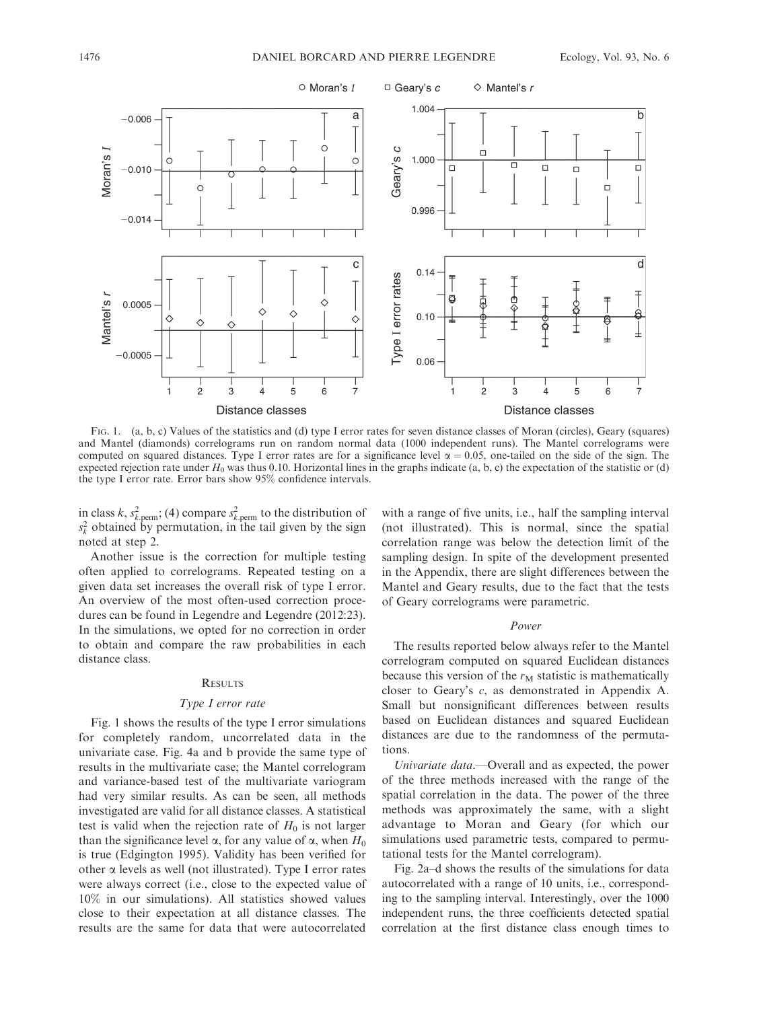

FIG. 1. (a, b, c) Values of the statistics and (d) type I error rates for seven distance classes of Moran (circles), Geary (squares) and Mantel (diamonds) correlograms run on random normal data (1000 independent runs). The Mantel correlograms were computed on squared distances. Type I error rates are for a significance level  $\alpha = 0.05$ , one-tailed on the side of the sign. The expected rejection rate under  $H_0$  was thus 0.10. Horizontal lines in the graphs indicate (a, b, c) the expectation of the statistic or (d) the type I error rate. Error bars show 95% confidence intervals.

in class k,  $s_{k, \text{perm}}^2$ ; (4) compare  $s_{k, \text{perm}}^2$  to the distribution of  $s_k^2$  obtained by permutation, in the tail given by the sign noted at step 2.

Another issue is the correction for multiple testing often applied to correlograms. Repeated testing on a given data set increases the overall risk of type I error. An overview of the most often-used correction procedures can be found in Legendre and Legendre (2012:23). In the simulations, we opted for no correction in order to obtain and compare the raw probabilities in each distance class.

#### **RESULTS**

#### Type I error rate

Fig. 1 shows the results of the type I error simulations for completely random, uncorrelated data in the univariate case. Fig. 4a and b provide the same type of results in the multivariate case; the Mantel correlogram and variance-based test of the multivariate variogram had very similar results. As can be seen, all methods investigated are valid for all distance classes. A statistical test is valid when the rejection rate of  $H_0$  is not larger than the significance level  $\alpha$ , for any value of  $\alpha$ , when  $H_0$ is true (Edgington 1995). Validity has been verified for other a levels as well (not illustrated). Type I error rates were always correct (i.e., close to the expected value of 10% in our simulations). All statistics showed values close to their expectation at all distance classes. The results are the same for data that were autocorrelated with a range of five units, i.e., half the sampling interval (not illustrated). This is normal, since the spatial correlation range was below the detection limit of the sampling design. In spite of the development presented in the Appendix, there are slight differences between the Mantel and Geary results, due to the fact that the tests of Geary correlograms were parametric.

#### Power

The results reported below always refer to the Mantel correlogram computed on squared Euclidean distances because this version of the  $r_M$  statistic is mathematically closer to Geary's c, as demonstrated in Appendix A. Small but nonsignificant differences between results based on Euclidean distances and squared Euclidean distances are due to the randomness of the permutations.

Univariate data.—Overall and as expected, the power of the three methods increased with the range of the spatial correlation in the data. The power of the three methods was approximately the same, with a slight advantage to Moran and Geary (for which our simulations used parametric tests, compared to permutational tests for the Mantel correlogram).

Fig. 2a–d shows the results of the simulations for data autocorrelated with a range of 10 units, i.e., corresponding to the sampling interval. Interestingly, over the 1000 independent runs, the three coefficients detected spatial correlation at the first distance class enough times to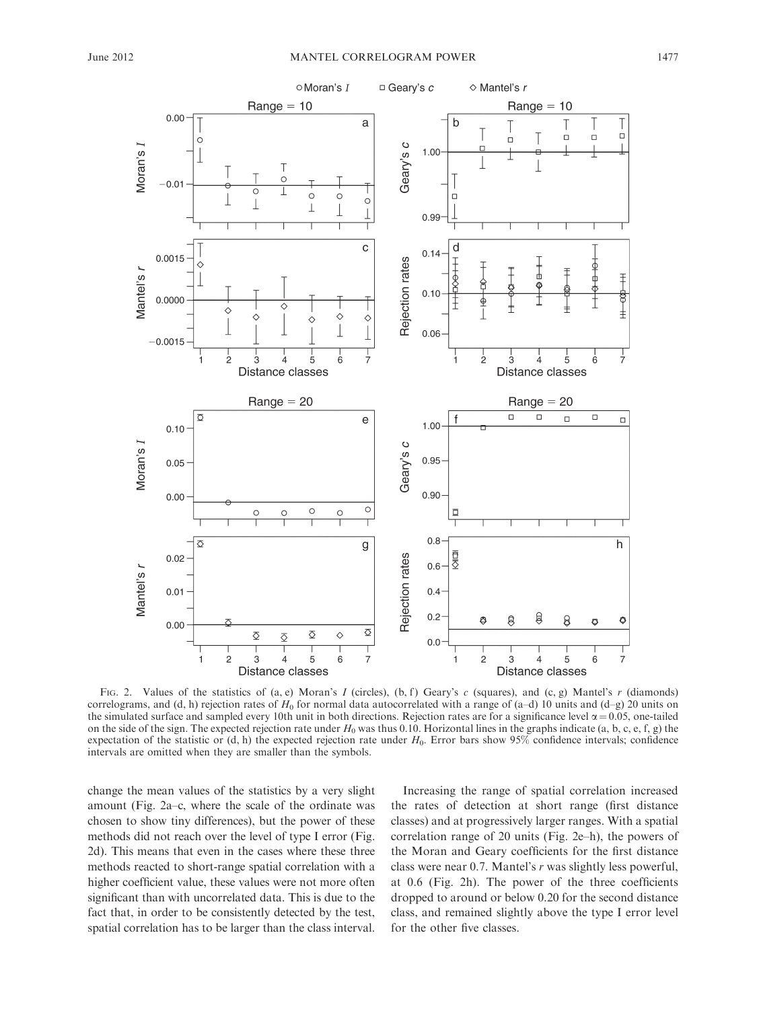

FIG. 2. Values of the statistics of (a, e) Moran's I (circles), (b, f) Geary's c (squares), and (c, g) Mantel's r (diamonds) correlograms, and (d, h) rejection rates of  $H_0$  for normal data autocorrelated with a range of (a–d) 10 units and (d–g) 20 units on the simulated surface and sampled every 10th unit in both directions. Rejection rates are for a significance level  $\alpha = 0.05$ , one-tailed on the side of the sign. The expected rejection rate under  $H_0$  was thus 0.10. Horizontal lines in the graphs indicate (a, b, c, e, f, g) the expectation of the statistic or  $(d, h)$  the expected rejection rate under  $H_0$ . Error bars show 95% confidence intervals; confidence intervals are omitted when they are smaller than the symbols.

change the mean values of the statistics by a very slight amount (Fig. 2a–c, where the scale of the ordinate was chosen to show tiny differences), but the power of these methods did not reach over the level of type I error (Fig. 2d). This means that even in the cases where these three methods reacted to short-range spatial correlation with a higher coefficient value, these values were not more often significant than with uncorrelated data. This is due to the fact that, in order to be consistently detected by the test, spatial correlation has to be larger than the class interval.

Increasing the range of spatial correlation increased the rates of detection at short range (first distance classes) and at progressively larger ranges. With a spatial correlation range of 20 units (Fig. 2e–h), the powers of the Moran and Geary coefficients for the first distance class were near 0.7. Mantel's r was slightly less powerful, at 0.6 (Fig. 2h). The power of the three coefficients dropped to around or below 0.20 for the second distance class, and remained slightly above the type I error level for the other five classes.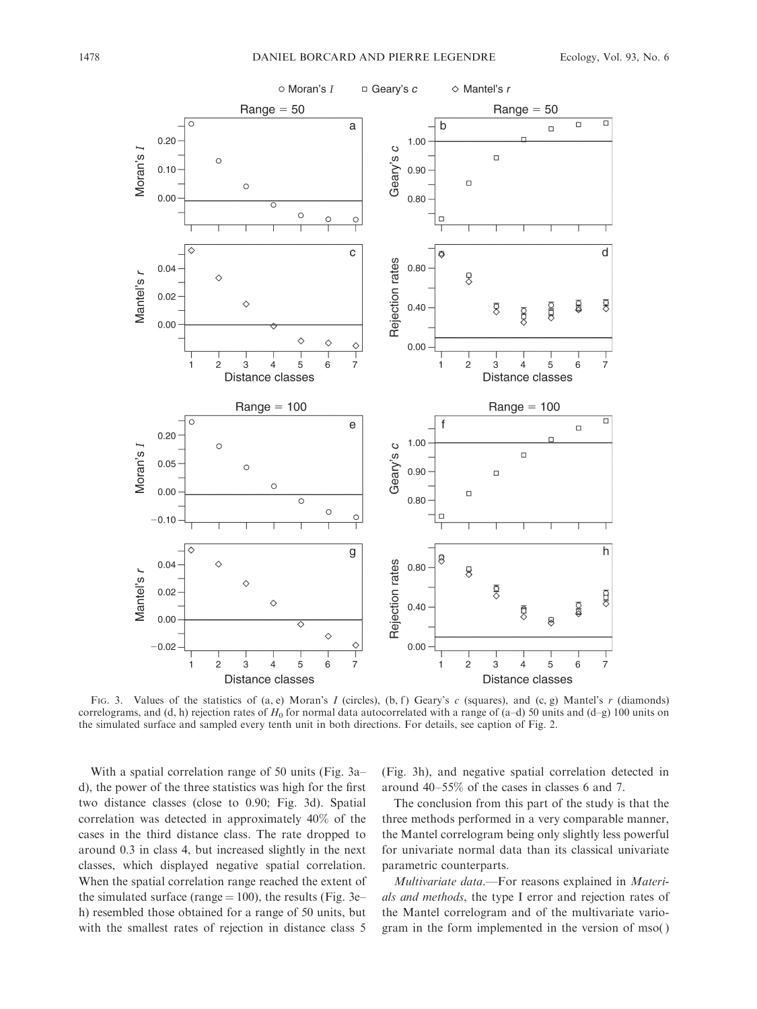

FIG. 3. Values of the statistics of (a, e) Moran's I (circles), (b, f) Geary's c (squares), and (c, g) Mantel's r (diamonds) correlograms, and (d, h) rejection rates of  $H_0$  for normal data autocorrelated with a range of (a–d) 50 units and (d–g) 100 units on the simulated surface and sampled every tenth unit in both directions. For details, see caption of Fig. 2.

With a spatial correlation range of 50 units (Fig. 3a– d), the power of the three statistics was high for the first two distance classes (close to 0.90; Fig. 3d). Spatial correlation was detected in approximately 40% of the cases in the third distance class. The rate dropped to around 0.3 in class 4, but increased slightly in the next classes, which displayed negative spatial correlation. When the spatial correlation range reached the extent of the simulated surface (range  $= 100$ ), the results (Fig. 3e– h) resembled those obtained for a range of 50 units, but with the smallest rates of rejection in distance class 5

(Fig. 3h), and negative spatial correlation detected in around 40–55% of the cases in classes 6 and 7.

The conclusion from this part of the study is that the three methods performed in a very comparable manner, the Mantel correlogram being only slightly less powerful for univariate normal data than its classical univariate parametric counterparts.

Multivariate data.—For reasons explained in Materials and methods, the type I error and rejection rates of the Mantel correlogram and of the multivariate variogram in the form implemented in the version of mso( )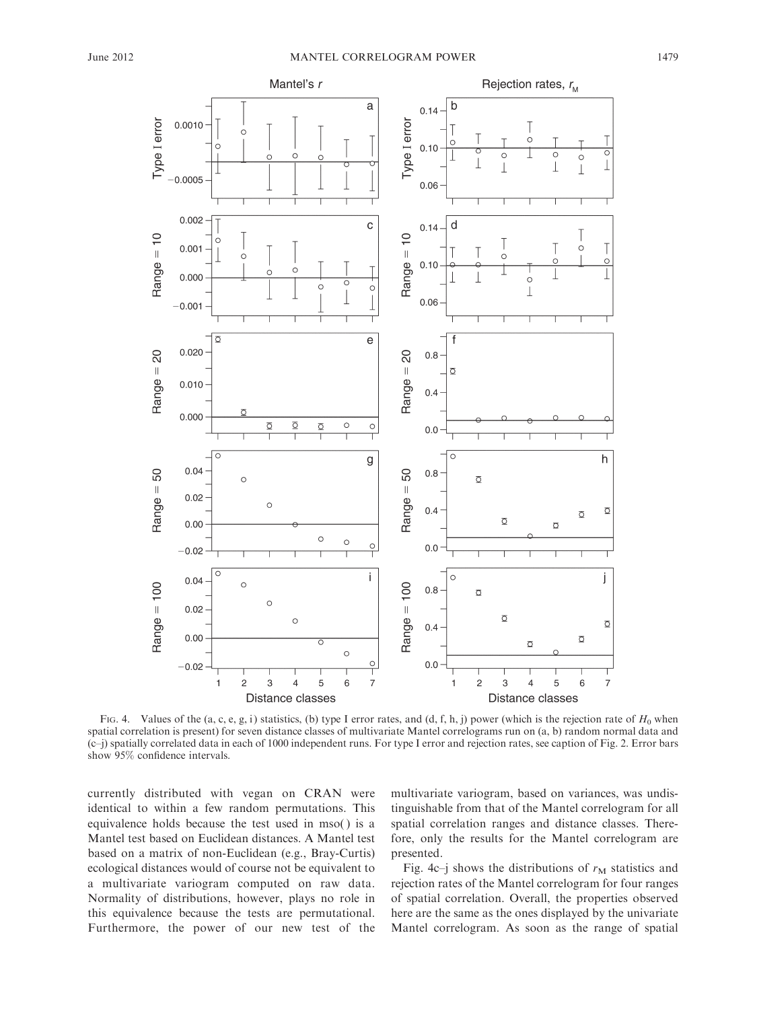

FIG. 4. Values of the (a, c, e, g, i) statistics, (b) type I error rates, and (d, f, h, j) power (which is the rejection rate of  $H_0$  when spatial correlation is present) for seven distance classes of multivariate Mantel correlograms run on (a, b) random normal data and (c–j) spatially correlated data in each of 1000 independent runs. For type I error and rejection rates, see caption of Fig. 2. Error bars show 95% confidence intervals.

currently distributed with vegan on CRAN were identical to within a few random permutations. This equivalence holds because the test used in mso( ) is a Mantel test based on Euclidean distances. A Mantel test based on a matrix of non-Euclidean (e.g., Bray-Curtis) ecological distances would of course not be equivalent to a multivariate variogram computed on raw data. Normality of distributions, however, plays no role in this equivalence because the tests are permutational. Furthermore, the power of our new test of the multivariate variogram, based on variances, was undistinguishable from that of the Mantel correlogram for all spatial correlation ranges and distance classes. Therefore, only the results for the Mantel correlogram are presented.

Fig. 4c–j shows the distributions of  $r_M$  statistics and rejection rates of the Mantel correlogram for four ranges of spatial correlation. Overall, the properties observed here are the same as the ones displayed by the univariate Mantel correlogram. As soon as the range of spatial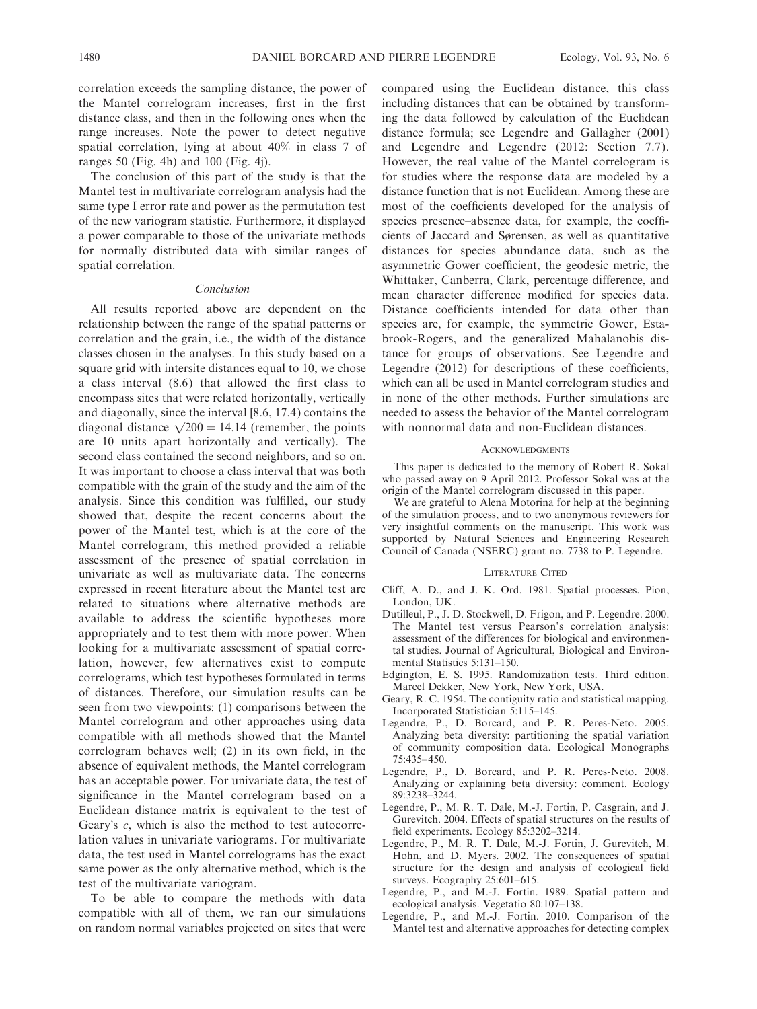correlation exceeds the sampling distance, the power of the Mantel correlogram increases, first in the first distance class, and then in the following ones when the range increases. Note the power to detect negative spatial correlation, lying at about 40% in class 7 of ranges 50 (Fig. 4h) and 100 (Fig. 4j).

The conclusion of this part of the study is that the Mantel test in multivariate correlogram analysis had the same type I error rate and power as the permutation test of the new variogram statistic. Furthermore, it displayed a power comparable to those of the univariate methods for normally distributed data with similar ranges of spatial correlation.

#### Conclusion

All results reported above are dependent on the relationship between the range of the spatial patterns or correlation and the grain, i.e., the width of the distance classes chosen in the analyses. In this study based on a square grid with intersite distances equal to 10, we chose a class interval (8.6) that allowed the first class to encompass sites that were related horizontally, vertically and diagonally, since the interval [8.6, 17.4) contains the diagonal distance  $\sqrt{200}$  = 14.14 (remember, the points are 10 units apart horizontally and vertically). The second class contained the second neighbors, and so on. It was important to choose a class interval that was both compatible with the grain of the study and the aim of the analysis. Since this condition was fulfilled, our study showed that, despite the recent concerns about the power of the Mantel test, which is at the core of the Mantel correlogram, this method provided a reliable assessment of the presence of spatial correlation in univariate as well as multivariate data. The concerns expressed in recent literature about the Mantel test are related to situations where alternative methods are available to address the scientific hypotheses more appropriately and to test them with more power. When looking for a multivariate assessment of spatial correlation, however, few alternatives exist to compute correlograms, which test hypotheses formulated in terms of distances. Therefore, our simulation results can be seen from two viewpoints: (1) comparisons between the Mantel correlogram and other approaches using data compatible with all methods showed that the Mantel correlogram behaves well; (2) in its own field, in the absence of equivalent methods, the Mantel correlogram has an acceptable power. For univariate data, the test of significance in the Mantel correlogram based on a Euclidean distance matrix is equivalent to the test of Geary's  $c$ , which is also the method to test autocorrelation values in univariate variograms. For multivariate data, the test used in Mantel correlograms has the exact same power as the only alternative method, which is the test of the multivariate variogram.

To be able to compare the methods with data compatible with all of them, we ran our simulations on random normal variables projected on sites that were

compared using the Euclidean distance, this class including distances that can be obtained by transforming the data followed by calculation of the Euclidean distance formula; see Legendre and Gallagher (2001) and Legendre and Legendre (2012: Section 7.7). However, the real value of the Mantel correlogram is for studies where the response data are modeled by a distance function that is not Euclidean. Among these are most of the coefficients developed for the analysis of species presence–absence data, for example, the coefficients of Jaccard and Sørensen, as well as quantitative distances for species abundance data, such as the asymmetric Gower coefficient, the geodesic metric, the Whittaker, Canberra, Clark, percentage difference, and mean character difference modified for species data. Distance coefficients intended for data other than species are, for example, the symmetric Gower, Estabrook-Rogers, and the generalized Mahalanobis distance for groups of observations. See Legendre and Legendre (2012) for descriptions of these coefficients, which can all be used in Mantel correlogram studies and in none of the other methods. Further simulations are needed to assess the behavior of the Mantel correlogram with nonnormal data and non-Euclidean distances.

#### ACKNOWLEDGMENTS

This paper is dedicated to the memory of Robert R. Sokal who passed away on 9 April 2012. Professor Sokal was at the origin of the Mantel correlogram discussed in this paper.

We are grateful to Alena Motorina for help at the beginning of the simulation process, and to two anonymous reviewers for very insightful comments on the manuscript. This work was supported by Natural Sciences and Engineering Research Council of Canada (NSERC) grant no. 7738 to P. Legendre.

#### LITERATURE CITED

- Cliff, A. D., and J. K. Ord. 1981. Spatial processes. Pion, London, UK.
- Dutilleul, P., J. D. Stockwell, D. Frigon, and P. Legendre. 2000. The Mantel test versus Pearson's correlation analysis: assessment of the differences for biological and environmental studies. Journal of Agricultural, Biological and Environmental Statistics 5:131–150.
- Edgington, E. S. 1995. Randomization tests. Third edition. Marcel Dekker, New York, New York, USA.
- Geary, R. C. 1954. The contiguity ratio and statistical mapping. Incorporated Statistician 5:115–145.
- Legendre, P., D. Borcard, and P. R. Peres-Neto. 2005. Analyzing beta diversity: partitioning the spatial variation of community composition data. Ecological Monographs 75:435–450.
- Legendre, P., D. Borcard, and P. R. Peres-Neto. 2008. Analyzing or explaining beta diversity: comment. Ecology 89:3238–3244.
- Legendre, P., M. R. T. Dale, M.-J. Fortin, P. Casgrain, and J. Gurevitch. 2004. Effects of spatial structures on the results of field experiments. Ecology 85:3202–3214.
- Legendre, P., M. R. T. Dale, M.-J. Fortin, J. Gurevitch, M. Hohn, and D. Myers. 2002. The consequences of spatial structure for the design and analysis of ecological field surveys. Ecography 25:601-615.
- Legendre, P., and M.-J. Fortin. 1989. Spatial pattern and ecological analysis. Vegetatio 80:107–138.
- Legendre, P., and M.-J. Fortin. 2010. Comparison of the Mantel test and alternative approaches for detecting complex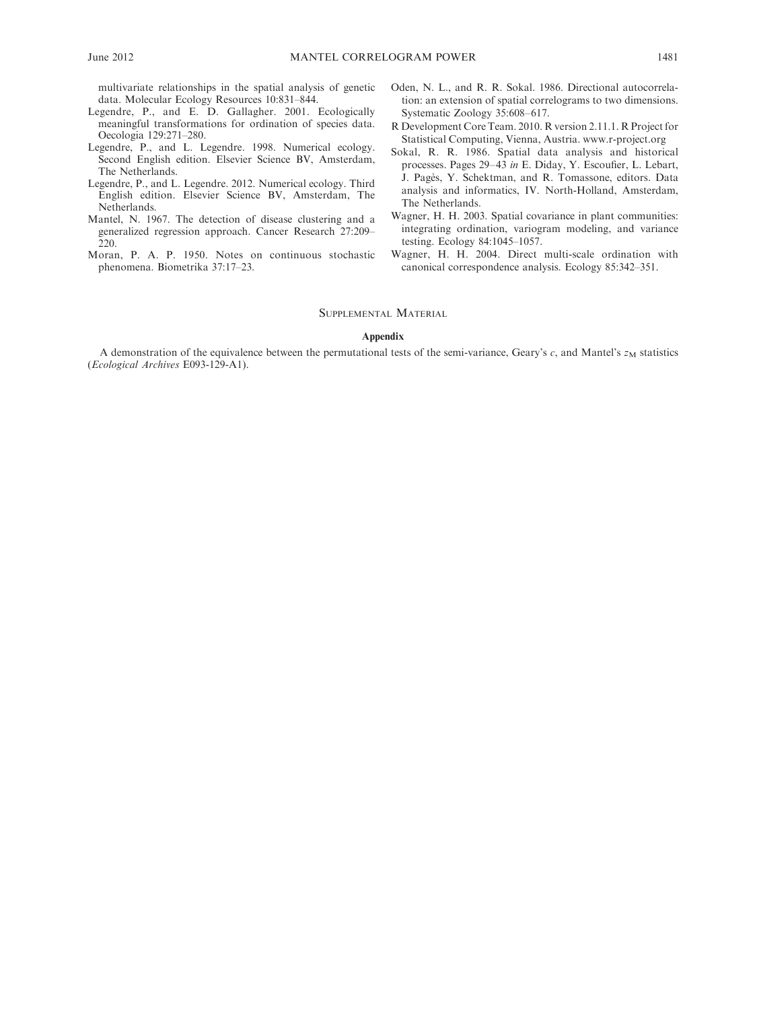multivariate relationships in the spatial analysis of genetic data. Molecular Ecology Resources 10:831–844.

- Legendre, P., and E. D. Gallagher. 2001. Ecologically meaningful transformations for ordination of species data. Oecologia 129:271–280.
- Legendre, P., and L. Legendre. 1998. Numerical ecology. Second English edition. Elsevier Science BV, Amsterdam, The Netherlands.
- Legendre, P., and L. Legendre. 2012. Numerical ecology. Third English edition. Elsevier Science BV, Amsterdam, The Netherlands.
- Mantel, N. 1967. The detection of disease clustering and a generalized regression approach. Cancer Research 27:209– 220.
- Moran, P. A. P. 1950. Notes on continuous stochastic phenomena. Biometrika 37:17–23.
- Oden, N. L., and R. R. Sokal. 1986. Directional autocorrelation: an extension of spatial correlograms to two dimensions. Systematic Zoology 35:608–617.
- R Development Core Team. 2010. R version 2.11.1. R Project for Statistical Computing, Vienna, Austria. www.r-project.org
- Sokal, R. R. 1986. Spatial data analysis and historical processes. Pages 29–43 in E. Diday, Y. Escoufier, L. Lebart, J. Pagès, Y. Schektman, and R. Tomassone, editors. Data analysis and informatics, IV. North-Holland, Amsterdam, The Netherlands.
- Wagner, H. H. 2003. Spatial covariance in plant communities: integrating ordination, variogram modeling, and variance testing. Ecology 84:1045–1057.
- Wagner, H. H. 2004. Direct multi-scale ordination with canonical correspondence analysis. Ecology 85:342–351.

### SUPPLEMENTAL MATERIAL

### Appendix

A demonstration of the equivalence between the permutational tests of the semi-variance, Geary's c, and Mantel's  $z_M$  statistics (Ecological Archives E093-129-A1).